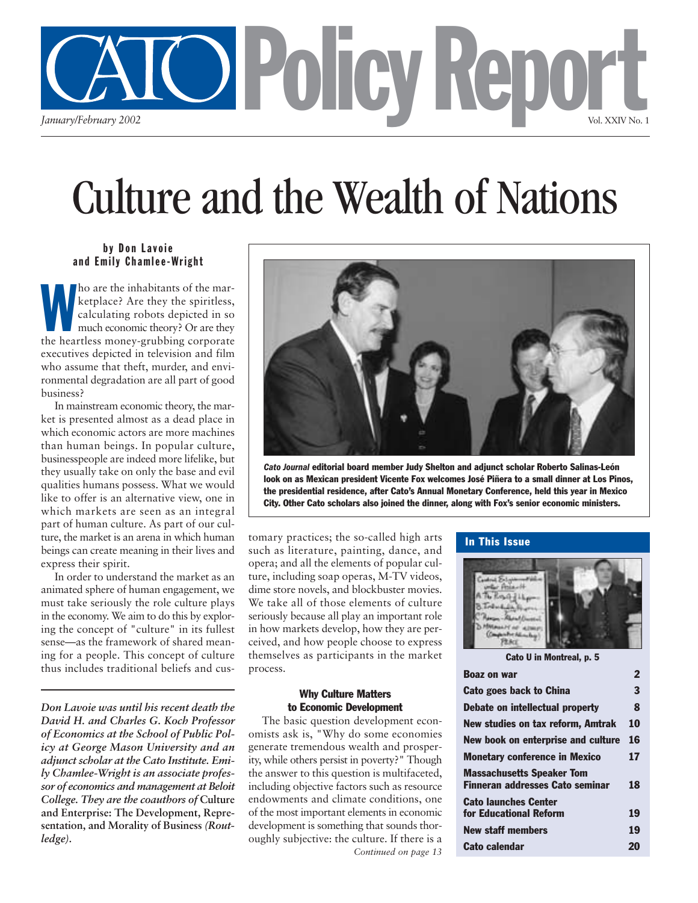

# Culture and the Wealth of Nations

## by Don Lavoie and Emily Chamlee-Wright

the inhabitants of the marketplace? Are they the spiritless,<br>calculating robots depicted in so<br>much economic theory? Or are they<br>the heartless money-grubbing corporate ho are the inhabitants of the marketplace? Are they the spiritless, calculating robots depicted in so much economic theory? Or are they executives depicted in television and film who assume that theft, murder, and environmental degradation are all part of good business?

In mainstream economic theory, the market is presented almost as a dead place in which economic actors are more machines than human beings. In popular culture, businesspeople are indeed more lifelike, but they usually take on only the base and evil qualities humans possess. What we would like to offer is an alternative view, one in which markets are seen as an integral part of human culture. As part of our culture, the market is an arena in which human beings can create meaning in their lives and express their spirit.

In order to understand the market as an animated sphere of human engagement, we must take seriously the role culture plays in the economy. We aim to do this by exploring the concept of "culture" in its fullest sense—as the framework of shared meaning for a people. This concept of culture thus includes traditional beliefs and cus-

*Don Lavoie was until his recent death the David H. and Charles G. Koch Professor of Economics at the School of Public Policy at George Mason University and an adjunct scholar at the Cato Institute. Emily Chamlee-Wright is an associate professor of economics and management at Beloit College. They are the coauthors of* **Culture and Enterprise: The Development, Representation, and Morality of Business** *(Routledge).*



*Cato Journal* editorial board member Judy Shelton and adjunct scholar Roberto Salinas-León look on as Mexican president Vicente Fox welcomes José Piñera to a small dinner at Los Pinos, the presidential residence, after Cato's Annual Monetary Conference, held this year in Mexico City. Other Cato scholars also joined the dinner, along with Fox's senior economic ministers.

tomary practices; the so-called high arts such as literature, painting, dance, and opera; and all the elements of popular culture, including soap operas, M-TV videos, dime store novels, and blockbuster movies. We take all of those elements of culture seriously because all play an important role in how markets develop, how they are perceived, and how people choose to express themselves as participants in the market process.

#### Why Culture Matters to Economic Development

The basic question development economists ask is, "Why do some economies generate tremendous wealth and prosperity, while others persist in poverty?" Though the answer to this question is multifaceted, including objective factors such as resource endowments and climate conditions, one of the most important elements in economic development is something that sounds thoroughly subjective: the culture. If there is a *Continued on page 13*

### In This Issue



| Cato U in Montreal, p. 5                                                   |    |
|----------------------------------------------------------------------------|----|
| <b>Boaz on war</b>                                                         | 2  |
| Cato goes back to China                                                    | 3  |
| Debate on intellectual property                                            | 8  |
| New studies on tax reform, Amtrak                                          | 10 |
| New book on enterprise and culture                                         | 16 |
| <b>Monetary conference in Mexico</b>                                       | 17 |
| <b>Massachusetts Speaker Tom</b><br><b>Finneran addresses Cato seminar</b> | 18 |
| <b>Cato launches Center</b><br>for Educational Reform                      | 19 |
| <b>New staff members</b>                                                   | 19 |
| Cato calendar                                                              | 20 |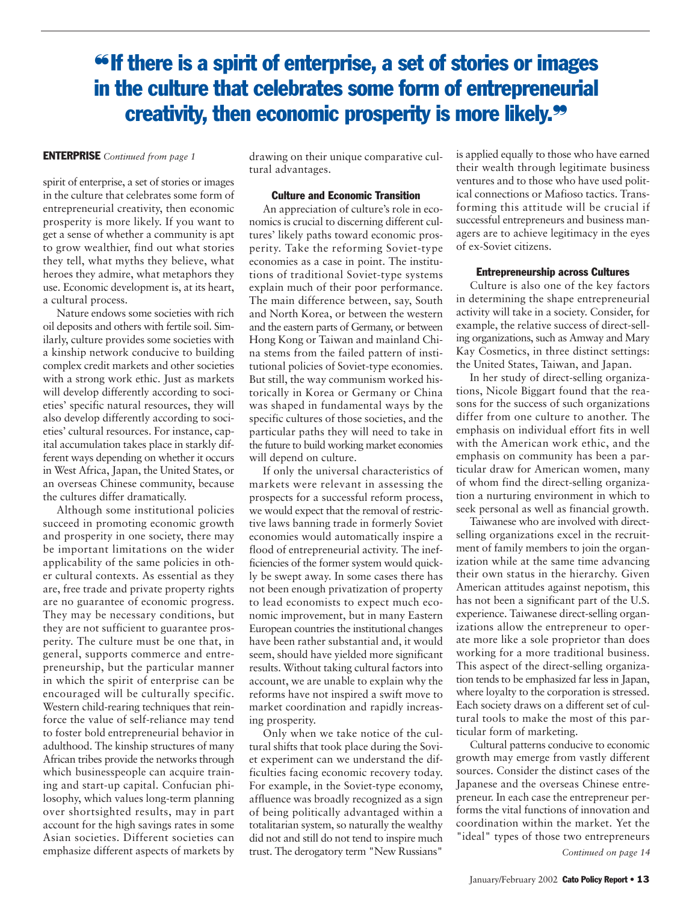## ❝If there is a spirit of enterprise, a set of stories or images in the culture that celebrates some form of entrepreneurial creativity, then economic prosperity is more likely.❞

#### ENTERPRISE *Continued from page 1*

spirit of enterprise, a set of stories or images in the culture that celebrates some form of entrepreneurial creativity, then economic prosperity is more likely. If you want to get a sense of whether a community is apt to grow wealthier, find out what stories they tell, what myths they believe, what heroes they admire, what metaphors they use. Economic development is, at its heart, a cultural process.

Nature endows some societies with rich oil deposits and others with fertile soil. Similarly, culture provides some societies with a kinship network conducive to building complex credit markets and other societies with a strong work ethic. Just as markets will develop differently according to societies' specific natural resources, they will also develop differently according to societies' cultural resources. For instance, capital accumulation takes place in starkly different ways depending on whether it occurs in West Africa, Japan, the United States, or an overseas Chinese community, because the cultures differ dramatically.

Although some institutional policies succeed in promoting economic growth and prosperity in one society, there may be important limitations on the wider applicability of the same policies in other cultural contexts. As essential as they are, free trade and private property rights are no guarantee of economic progress. They may be necessary conditions, but they are not sufficient to guarantee prosperity. The culture must be one that, in general, supports commerce and entrepreneurship, but the particular manner in which the spirit of enterprise can be encouraged will be culturally specific. Western child-rearing techniques that reinforce the value of self-reliance may tend to foster bold entrepreneurial behavior in adulthood. The kinship structures of many African tribes provide the networks through which businesspeople can acquire training and start-up capital. Confucian philosophy, which values long-term planning over shortsighted results, may in part account for the high savings rates in some Asian societies. Different societies can emphasize different aspects of markets by

drawing on their unique comparative cultural advantages.

#### Culture and Economic Transition

An appreciation of culture's role in economics is crucial to discerning different cultures' likely paths toward economic prosperity. Take the reforming Soviet-type economies as a case in point. The institutions of traditional Soviet-type systems explain much of their poor performance. The main difference between, say, South and North Korea, or between the western and the eastern parts of Germany, or between Hong Kong or Taiwan and mainland China stems from the failed pattern of institutional policies of Soviet-type economies. But still, the way communism worked historically in Korea or Germany or China was shaped in fundamental ways by the specific cultures of those societies, and the particular paths they will need to take in the future to build working market economies will depend on culture.

If only the universal characteristics of markets were relevant in assessing the prospects for a successful reform process, we would expect that the removal of restrictive laws banning trade in formerly Soviet economies would automatically inspire a flood of entrepreneurial activity. The inefficiencies of the former system would quickly be swept away. In some cases there has not been enough privatization of property to lead economists to expect much economic improvement, but in many Eastern European countries the institutional changes have been rather substantial and, it would seem, should have yielded more significant results. Without taking cultural factors into account, we are unable to explain why the reforms have not inspired a swift move to market coordination and rapidly increasing prosperity.

Only when we take notice of the cultural shifts that took place during the Soviet experiment can we understand the difficulties facing economic recovery today. For example, in the Soviet-type economy, affluence was broadly recognized as a sign of being politically advantaged within a totalitarian system, so naturally the wealthy did not and still do not tend to inspire much trust. The derogatory term "New Russians"

is applied equally to those who have earned their wealth through legitimate business ventures and to those who have used political connections or Mafioso tactics. Transforming this attitude will be crucial if successful entrepreneurs and business managers are to achieve legitimacy in the eyes of ex-Soviet citizens.

#### Entrepreneurship across Cultures

Culture is also one of the key factors in determining the shape entrepreneurial activity will take in a society. Consider, for example, the relative success of direct-selling organizations, such as Amway and Mary Kay Cosmetics, in three distinct settings: the United States, Taiwan, and Japan.

In her study of direct-selling organizations, Nicole Biggart found that the reasons for the success of such organizations differ from one culture to another. The emphasis on individual effort fits in well with the American work ethic, and the emphasis on community has been a particular draw for American women, many of whom find the direct-selling organization a nurturing environment in which to seek personal as well as financial growth.

Taiwanese who are involved with directselling organizations excel in the recruitment of family members to join the organization while at the same time advancing their own status in the hierarchy. Given American attitudes against nepotism, this has not been a significant part of the U.S. experience. Taiwanese direct-selling organizations allow the entrepreneur to operate more like a sole proprietor than does working for a more traditional business. This aspect of the direct-selling organization tends to be emphasized far less in Japan, where loyalty to the corporation is stressed. Each society draws on a different set of cultural tools to make the most of this particular form of marketing.

Cultural patterns conducive to economic growth may emerge from vastly different sources. Consider the distinct cases of the Japanese and the overseas Chinese entrepreneur. In each case the entrepreneur performs the vital functions of innovation and coordination within the market. Yet the "ideal" types of those two entrepreneurs

*Continued on page 14*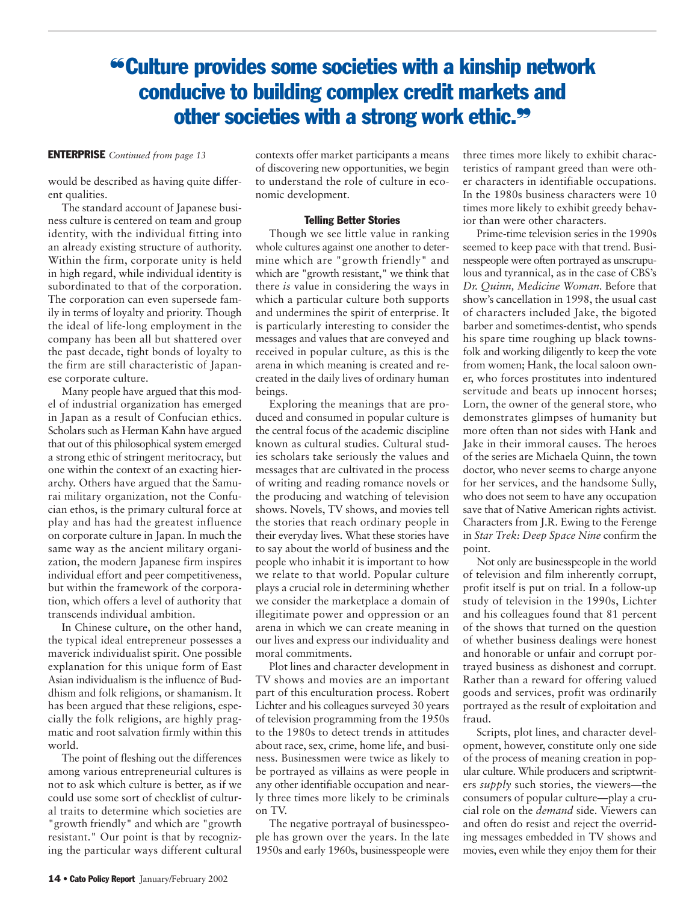## ❝Culture provides some societies with a kinship network conducive to building complex credit markets and other societies with a strong work ethic.<sup>99</sup>

#### ENTERPRISE *Continued from page 13*

would be described as having quite different qualities.

The standard account of Japanese business culture is centered on team and group identity, with the individual fitting into an already existing structure of authority. Within the firm, corporate unity is held in high regard, while individual identity is subordinated to that of the corporation. The corporation can even supersede family in terms of loyalty and priority. Though the ideal of life-long employment in the company has been all but shattered over the past decade, tight bonds of loyalty to the firm are still characteristic of Japanese corporate culture.

Many people have argued that this model of industrial organization has emerged in Japan as a result of Confucian ethics. Scholars such as Herman Kahn have argued that out of this philosophical system emerged a strong ethic of stringent meritocracy, but one within the context of an exacting hierarchy. Others have argued that the Samurai military organization, not the Confucian ethos, is the primary cultural force at play and has had the greatest influence on corporate culture in Japan. In much the same way as the ancient military organization, the modern Japanese firm inspires individual effort and peer competitiveness, but within the framework of the corporation, which offers a level of authority that transcends individual ambition.

In Chinese culture, on the other hand, the typical ideal entrepreneur possesses a maverick individualist spirit. One possible explanation for this unique form of East Asian individualism is the influence of Buddhism and folk religions, or shamanism. It has been argued that these religions, especially the folk religions, are highly pragmatic and root salvation firmly within this world.

The point of fleshing out the differences among various entrepreneurial cultures is not to ask which culture is better, as if we could use some sort of checklist of cultural traits to determine which societies are "growth friendly" and which are "growth resistant." Our point is that by recognizing the particular ways different cultural

contexts offer market participants a means of discovering new opportunities, we begin to understand the role of culture in economic development.

#### Telling Better Stories

Though we see little value in ranking whole cultures against one another to determine which are "growth friendly" and which are "growth resistant," we think that there *is* value in considering the ways in which a particular culture both supports and undermines the spirit of enterprise. It is particularly interesting to consider the messages and values that are conveyed and received in popular culture, as this is the arena in which meaning is created and recreated in the daily lives of ordinary human beings.

Exploring the meanings that are produced and consumed in popular culture is the central focus of the academic discipline known as cultural studies. Cultural studies scholars take seriously the values and messages that are cultivated in the process of writing and reading romance novels or the producing and watching of television shows. Novels, TV shows, and movies tell the stories that reach ordinary people in their everyday lives. What these stories have to say about the world of business and the people who inhabit it is important to how we relate to that world. Popular culture plays a crucial role in determining whether we consider the marketplace a domain of illegitimate power and oppression or an arena in which we can create meaning in our lives and express our individuality and moral commitments.

Plot lines and character development in TV shows and movies are an important part of this enculturation process. Robert Lichter and his colleagues surveyed 30 years of television programming from the 1950s to the 1980s to detect trends in attitudes about race, sex, crime, home life, and business. Businessmen were twice as likely to be portrayed as villains as were people in any other identifiable occupation and nearly three times more likely to be criminals on TV.

The negative portrayal of businesspeople has grown over the years. In the late 1950s and early 1960s, businesspeople were three times more likely to exhibit characteristics of rampant greed than were other characters in identifiable occupations. In the 1980s business characters were 10 times more likely to exhibit greedy behavior than were other characters.

Prime-time television series in the 1990s seemed to keep pace with that trend. Businesspeople were often portrayed as unscrupulous and tyrannical, as in the case of CBS's *Dr. Quinn, Medicine Woman.* Before that show's cancellation in 1998, the usual cast of characters included Jake, the bigoted barber and sometimes-dentist, who spends his spare time roughing up black townsfolk and working diligently to keep the vote from women; Hank, the local saloon owner, who forces prostitutes into indentured servitude and beats up innocent horses; Lorn, the owner of the general store, who demonstrates glimpses of humanity but more often than not sides with Hank and Jake in their immoral causes. The heroes of the series are Michaela Quinn, the town doctor, who never seems to charge anyone for her services, and the handsome Sully, who does not seem to have any occupation save that of Native American rights activist. Characters from J.R. Ewing to the Ferenge in *Star Trek: Deep Space Nine* confirm the point.

Not only are businesspeople in the world of television and film inherently corrupt, profit itself is put on trial. In a follow-up study of television in the 1990s, Lichter and his colleagues found that 81 percent of the shows that turned on the question of whether business dealings were honest and honorable or unfair and corrupt portrayed business as dishonest and corrupt. Rather than a reward for offering valued goods and services, profit was ordinarily portrayed as the result of exploitation and fraud.

Scripts, plot lines, and character development, however, constitute only one side of the process of meaning creation in popular culture. While producers and scriptwriters *supply* such stories, the viewers—the consumers of popular culture—play a crucial role on the *demand* side. Viewers can and often do resist and reject the overriding messages embedded in TV shows and movies, even while they enjoy them for their